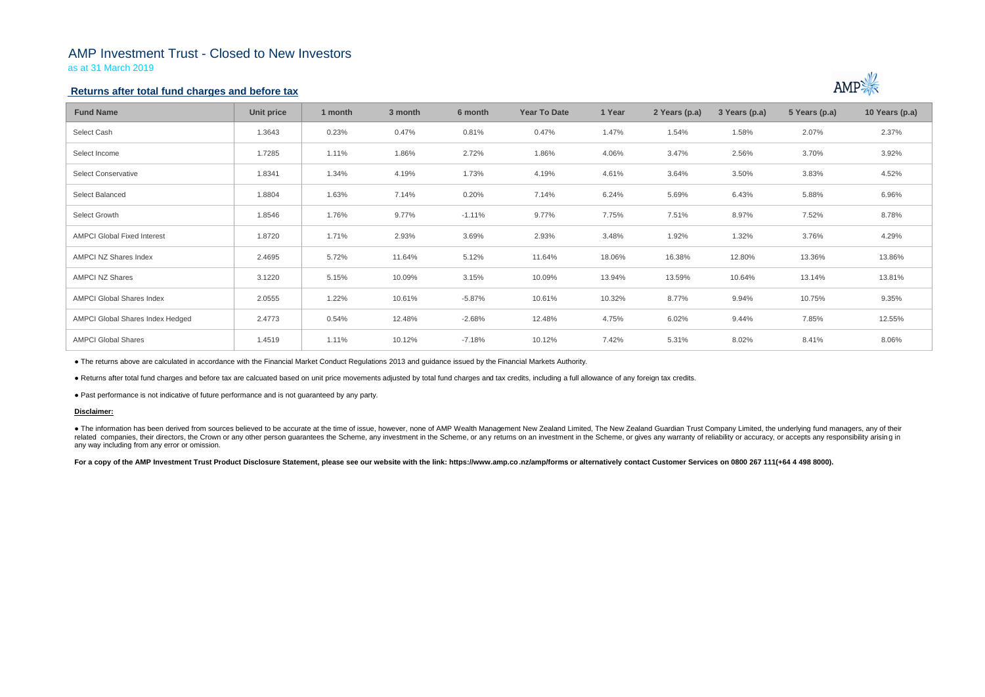# AMP Investment Trust - Closed to New Investors

as at 31 March 2019

## **Returns after total fund charges and before tax**

| <b>Fund Name</b>                   | Unit price | 1 month | 3 month | 6 month  | <b>Year To Date</b> | 1 Year | 2 Years (p.a) | 3 Years (p.a) | 5 Years (p.a) | 10 Years (p.a) |
|------------------------------------|------------|---------|---------|----------|---------------------|--------|---------------|---------------|---------------|----------------|
| Select Cash                        | 1.3643     | 0.23%   | 0.47%   | 0.81%    | 0.47%               | 1.47%  | 1.54%         | 1.58%         | 2.07%         | 2.37%          |
| Select Income                      | 1.7285     | 1.11%   | 1.86%   | 2.72%    | 1.86%               | 4.06%  | 3.47%         | 2.56%         | 3.70%         | 3.92%          |
| <b>Select Conservative</b>         | 1.8341     | 1.34%   | 4.19%   | 1.73%    | 4.19%               | 4.61%  | 3.64%         | 3.50%         | 3.83%         | 4.52%          |
| Select Balanced                    | 1.8804     | 1.63%   | 7.14%   | 0.20%    | 7.14%               | 6.24%  | 5.69%         | 6.43%         | 5.88%         | 6.96%          |
| Select Growth                      | 1.8546     | 1.76%   | 9.77%   | $-1.11%$ | 9.77%               | 7.75%  | 7.51%         | 8.97%         | 7.52%         | 8.78%          |
| <b>AMPCI Global Fixed Interest</b> | 1.8720     | 1.71%   | 2.93%   | 3.69%    | 2.93%               | 3.48%  | 1.92%         | 1.32%         | 3.76%         | 4.29%          |
| AMPCI NZ Shares Index              | 2.4695     | 5.72%   | 11.64%  | 5.12%    | 11.64%              | 18.06% | 16.38%        | 12.80%        | 13.36%        | 13.86%         |
| <b>AMPCI NZ Shares</b>             | 3.1220     | 5.15%   | 10.09%  | 3.15%    | 10.09%              | 13.94% | 13.59%        | 10.64%        | 13.14%        | 13.81%         |
| <b>AMPCI Global Shares Index</b>   | 2.0555     | 1.22%   | 10.61%  | $-5.87%$ | 10.61%              | 10.32% | 8.77%         | 9.94%         | 10.75%        | 9.35%          |
| AMPCI Global Shares Index Hedged   | 2.4773     | 0.54%   | 12.48%  | $-2.68%$ | 12.48%              | 4.75%  | 6.02%         | 9.44%         | 7.85%         | 12.55%         |
| <b>AMPCI Global Shares</b>         | 1.4519     | 1.11%   | 10.12%  | $-7.18%$ | 10.12%              | 7.42%  | 5.31%         | 8.02%         | 8.41%         | 8.06%          |

• The information has been derived from sources believed to be accurate at the time of issue, however, none of AMP Wealth Management New Zealand Limited, The New Zealand Guardian Trust Company Limited, the underlying fund related companies, their directors, the Crown or any other person quarantees the Scheme, any investment in the Scheme, or any returns on an investment in the Scheme, or gives any warranty of reliability or accuracy, or acc any way including from any error or omission.

For a copy of the AMP Investment Trust Product Disclosure Statement, please see our website with the link: https://www.amp.co.nz/amp/forms or alternatively contact Customer Services on 0800 267 111(+64 4 498 8000).



● The returns above are calculated in accordance with the Financial Market Conduct Regulations 2013 and guidance issued by the Financial Markets Authority.

● Returns after total fund charges and before tax are calcuated based on unit price movements adjusted by total fund charges and tax credits, including a full allowance of any foreign tax credits.

● Past performance is not indicative of future performance and is not guaranteed by any party.

### **Disclaimer:**